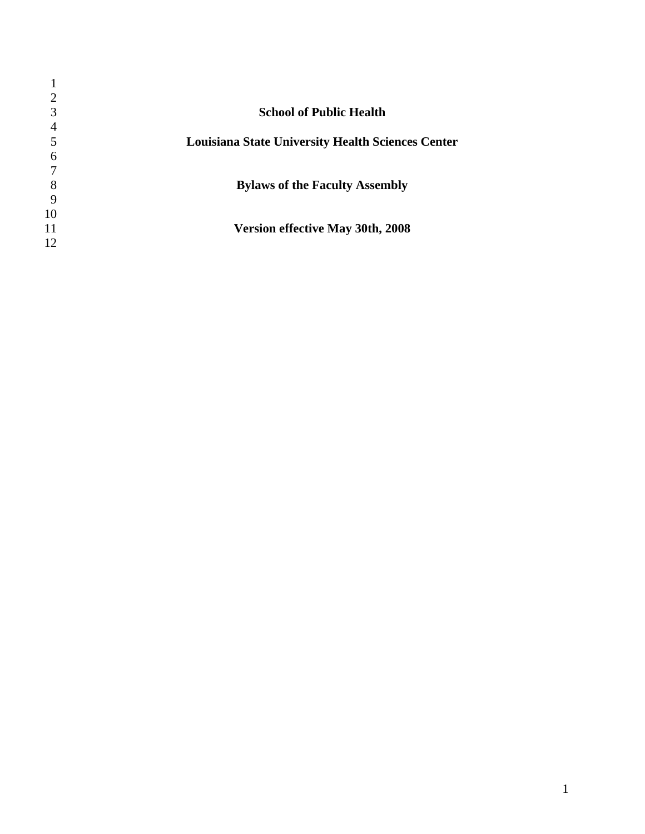|    | <b>School of Public Health</b>                           |
|----|----------------------------------------------------------|
|    |                                                          |
|    | <b>Louisiana State University Health Sciences Center</b> |
| 6  |                                                          |
|    |                                                          |
| 8  | <b>Bylaws of the Faculty Assembly</b>                    |
| 9  |                                                          |
| 10 |                                                          |
| 11 | <b>Version effective May 30th, 2008</b>                  |
| 12 |                                                          |
|    |                                                          |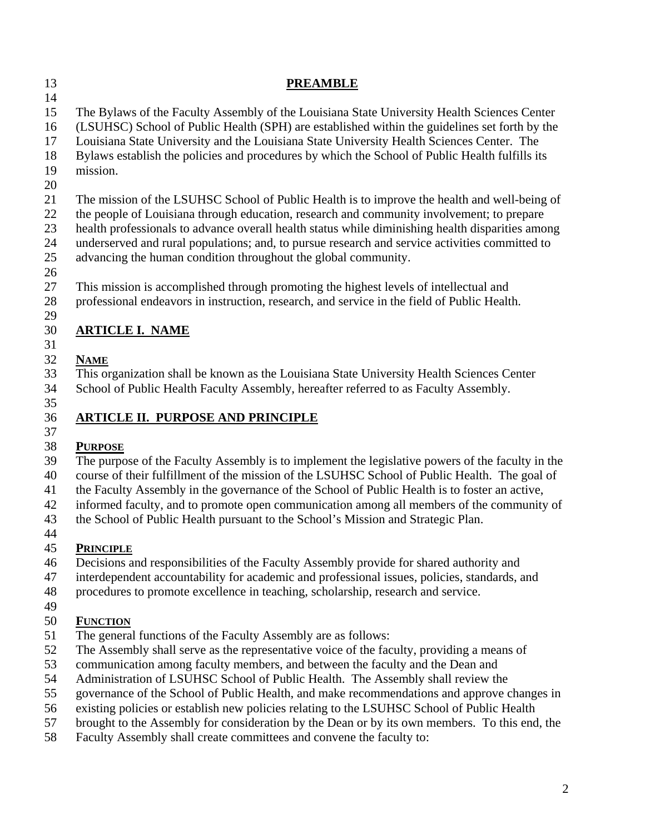| 13       | <b>PREAMBLE</b>                                                                                                                                                                               |  |  |  |  |  |  |
|----------|-----------------------------------------------------------------------------------------------------------------------------------------------------------------------------------------------|--|--|--|--|--|--|
| 14       |                                                                                                                                                                                               |  |  |  |  |  |  |
| 15<br>16 | The Bylaws of the Faculty Assembly of the Louisiana State University Health Sciences Center<br>(LSUHSC) School of Public Health (SPH) are established within the guidelines set forth by the  |  |  |  |  |  |  |
| 17<br>18 | Louisiana State University and the Louisiana State University Health Sciences Center. The<br>Bylaws establish the policies and procedures by which the School of Public Health fulfills its   |  |  |  |  |  |  |
| 19       | mission.                                                                                                                                                                                      |  |  |  |  |  |  |
| 20       |                                                                                                                                                                                               |  |  |  |  |  |  |
| 21       | The mission of the LSUHSC School of Public Health is to improve the health and well-being of                                                                                                  |  |  |  |  |  |  |
| 22<br>23 | the people of Louisiana through education, research and community involvement; to prepare<br>health professionals to advance overall health status while diminishing health disparities among |  |  |  |  |  |  |
| 24       | underserved and rural populations; and, to pursue research and service activities committed to                                                                                                |  |  |  |  |  |  |
| 25<br>26 | advancing the human condition throughout the global community.                                                                                                                                |  |  |  |  |  |  |
| 27       | This mission is accomplished through promoting the highest levels of intellectual and                                                                                                         |  |  |  |  |  |  |
| 28       | professional endeavors in instruction, research, and service in the field of Public Health.                                                                                                   |  |  |  |  |  |  |
| 29       |                                                                                                                                                                                               |  |  |  |  |  |  |
| 30       | <b>ARTICLE I. NAME</b>                                                                                                                                                                        |  |  |  |  |  |  |
| 31       |                                                                                                                                                                                               |  |  |  |  |  |  |
| 32       | <b>NAME</b>                                                                                                                                                                                   |  |  |  |  |  |  |
| 33       | This organization shall be known as the Louisiana State University Health Sciences Center                                                                                                     |  |  |  |  |  |  |
| 34       | School of Public Health Faculty Assembly, hereafter referred to as Faculty Assembly.                                                                                                          |  |  |  |  |  |  |
| 35       |                                                                                                                                                                                               |  |  |  |  |  |  |
| 36       | <b>ARTICLE II. PURPOSE AND PRINCIPLE</b>                                                                                                                                                      |  |  |  |  |  |  |
| 37       |                                                                                                                                                                                               |  |  |  |  |  |  |
| 38       | <b>PURPOSE</b>                                                                                                                                                                                |  |  |  |  |  |  |
| 39       | The purpose of the Faculty Assembly is to implement the legislative powers of the faculty in the                                                                                              |  |  |  |  |  |  |
| 40       | course of their fulfillment of the mission of the LSUHSC School of Public Health. The goal of                                                                                                 |  |  |  |  |  |  |
| 41       | the Faculty Assembly in the governance of the School of Public Health is to foster an active,                                                                                                 |  |  |  |  |  |  |
| 42       | informed faculty, and to promote open communication among all members of the community of                                                                                                     |  |  |  |  |  |  |
| 43       | the School of Public Health pursuant to the School's Mission and Strategic Plan.                                                                                                              |  |  |  |  |  |  |
| 44       |                                                                                                                                                                                               |  |  |  |  |  |  |
| 45       | <b>PRINCIPLE</b>                                                                                                                                                                              |  |  |  |  |  |  |
| 46       | Decisions and responsibilities of the Faculty Assembly provide for shared authority and                                                                                                       |  |  |  |  |  |  |
| 47       | interdependent accountability for academic and professional issues, policies, standards, and                                                                                                  |  |  |  |  |  |  |
| 48       | procedures to promote excellence in teaching, scholarship, research and service.                                                                                                              |  |  |  |  |  |  |
| 49       |                                                                                                                                                                                               |  |  |  |  |  |  |
| 50       | <b>FUNCTION</b>                                                                                                                                                                               |  |  |  |  |  |  |
| 51       | The general functions of the Faculty Assembly are as follows:                                                                                                                                 |  |  |  |  |  |  |
| 52       | The Assembly shall serve as the representative voice of the faculty, providing a means of                                                                                                     |  |  |  |  |  |  |
| 53       | communication among faculty members, and between the faculty and the Dean and                                                                                                                 |  |  |  |  |  |  |
| 54       | Administration of LSUHSC School of Public Health. The Assembly shall review the                                                                                                               |  |  |  |  |  |  |

- 55 governance of the School of Public Health, and make recommendations and approve changes in
- 56 existing policies or establish new policies relating to the LSUHSC School of Public Health<br>57 brought to the Assembly for consideration by the Dean or by its own members. To this end
- brought to the Assembly for consideration by the Dean or by its own members. To this end, the
- 58 Faculty Assembly shall create committees and convene the faculty to: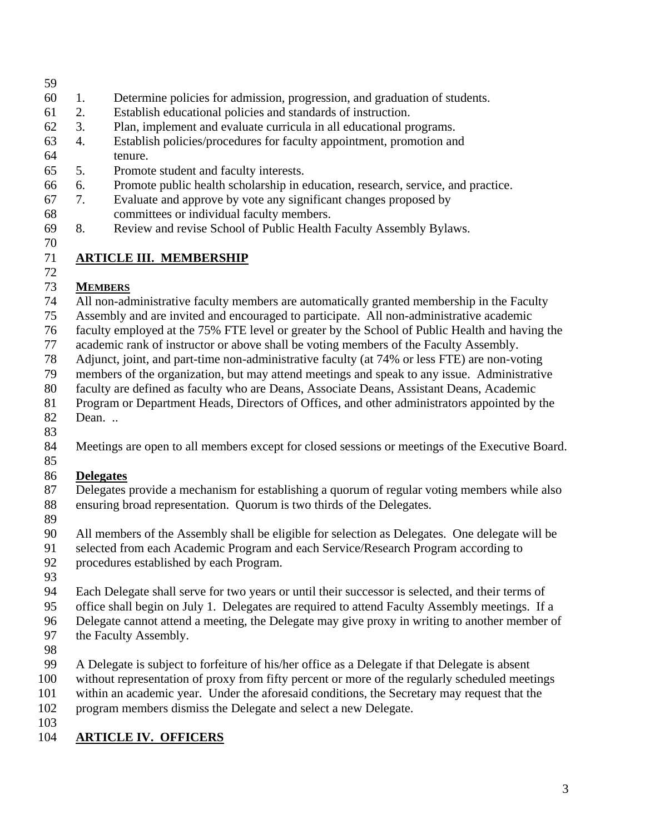#### 59

- 60 1. Determine policies for admission, progression, and graduation of students.
- 61 2. Establish educational policies and standards of instruction.
- 62 3. Plan, implement and evaluate curricula in all educational programs.
- 63 4. Establish policies/procedures for faculty appointment, promotion and 64 tenure.
- 65 5. Promote student and faculty interests.
- 66 6. Promote public health scholarship in education, research, service, and practice.
- 67 7. Evaluate and approve by vote any significant changes proposed by 68 committees or individual faculty members.
- 69 8. Review and revise School of Public Health Faculty Assembly Bylaws.
- 70

72

## 71 **ARTICLE III. MEMBERSHIP**

### 73 **MEMBERS**

74 All non-administrative faculty members are automatically granted membership in the Faculty

- 75 Assembly and are invited and encouraged to participate. All non-administrative academic
- 76 faculty employed at the 75% FTE level or greater by the School of Public Health and having the
- 77 academic rank of instructor or above shall be voting members of the Faculty Assembly.
- 78 Adjunct, joint, and part-time non-administrative faculty (at 74% or less FTE) are non-voting
- 79 members of the organization, but may attend meetings and speak to any issue. Administrative
- 80 faculty are defined as faculty who are Deans, Associate Deans, Assistant Deans, Academic
- 81 Program or Department Heads, Directors of Offices, and other administrators appointed by the
- 82 Dean. .. 83
- 84 Meetings are open to all members except for closed sessions or meetings of the Executive Board.
- 85

### 86 **Delegates**

- 87 Delegates provide a mechanism for establishing a quorum of regular voting members while also 88 ensuring broad representation. Quorum is two thirds of the Delegates.
- 89
- 90 All members of the Assembly shall be eligible for selection as Delegates. One delegate will be
- 91 selected from each Academic Program and each Service/Research Program according to
- 92 procedures established by each Program.
- 93
- 94 Each Delegate shall serve for two years or until their successor is selected, and their terms of
- 95 office shall begin on July 1. Delegates are required to attend Faculty Assembly meetings. If a
- 96 Delegate cannot attend a meeting, the Delegate may give proxy in writing to another member of
- 97 the Faculty Assembly.
- 98
- 99 A Delegate is subject to forfeiture of his/her office as a Delegate if that Delegate is absent
- 100 without representation of proxy from fifty percent or more of the regularly scheduled meetings
- 101 within an academic year. Under the aforesaid conditions, the Secretary may request that the
- 102 program members dismiss the Delegate and select a new Delegate.
- 103
- 104 **ARTICLE IV. OFFICERS**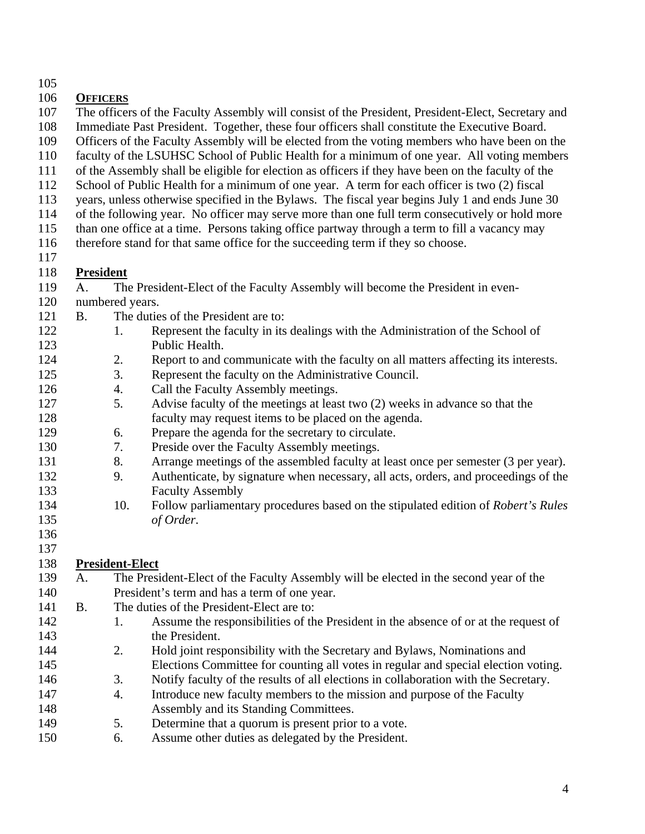105

## 106 **OFFICERS**

- 107 The officers of the Faculty Assembly will consist of the President, President-Elect, Secretary and
- 108 Immediate Past President. Together, these four officers shall constitute the Executive Board.
- 109 Officers of the Faculty Assembly will be elected from the voting members who have been on the
- 110 faculty of the LSUHSC School of Public Health for a minimum of one year. All voting members
- 111 of the Assembly shall be eligible for election as officers if they have been on the faculty of the
- 112 School of Public Health for a minimum of one year. A term for each officer is two (2) fiscal
- 113 years, unless otherwise specified in the Bylaws. The fiscal year begins July 1 and ends June 30 114 of the following year. No officer may serve more than one full term consecutively or hold more
- 115 than one office at a time. Persons taking office partway through a term to fill a vacancy may
- 116 therefore stand for that same office for the succeeding term if they so choose.
- 117

## 118 **President**

- 119 A. The President-Elect of the Faculty Assembly will become the President in even-
- 120 numbered years.
- 121 B. The duties of the President are to:
- 122 1. Represent the faculty in its dealings with the Administration of the School of 123 Public Health.
- 124 2. Report to and communicate with the faculty on all matters affecting its interests.
- 125 3. Represent the faculty on the Administrative Council.
- 126 4. Call the Faculty Assembly meetings.
- 127 5. Advise faculty of the meetings at least two (2) weeks in advance so that the 128 faculty may request items to be placed on the agenda.
- 129 6. Prepare the agenda for the secretary to circulate.
- 130 7. Preside over the Faculty Assembly meetings.
- 131 8. Arrange meetings of the assembled faculty at least once per semester (3 per year).
- 132 9. Authenticate, by signature when necessary, all acts, orders, and proceedings of the 133 Faculty Assembly
- 134 10. Follow parliamentary procedures based on the stipulated edition of *Robert's Rules*  135 *of Order*.
- 136 137

# 138 **President-Elect**

- 139 A. The President-Elect of the Faculty Assembly will be elected in the second year of the 140 President's term and has a term of one year.
- 141 B. The duties of the President-Elect are to:
- 142 1. Assume the responsibilities of the President in the absence of or at the request of 143 the President.
- 144 2. Hold joint responsibility with the Secretary and Bylaws, Nominations and 145 Elections Committee for counting all votes in regular and special election voting.
- 146 3. Notify faculty of the results of all elections in collaboration with the Secretary.
- 147 4. Introduce new faculty members to the mission and purpose of the Faculty 148 Assembly and its Standing Committees.
- 149 5. Determine that a quorum is present prior to a vote.
- 150 6. Assume other duties as delegated by the President.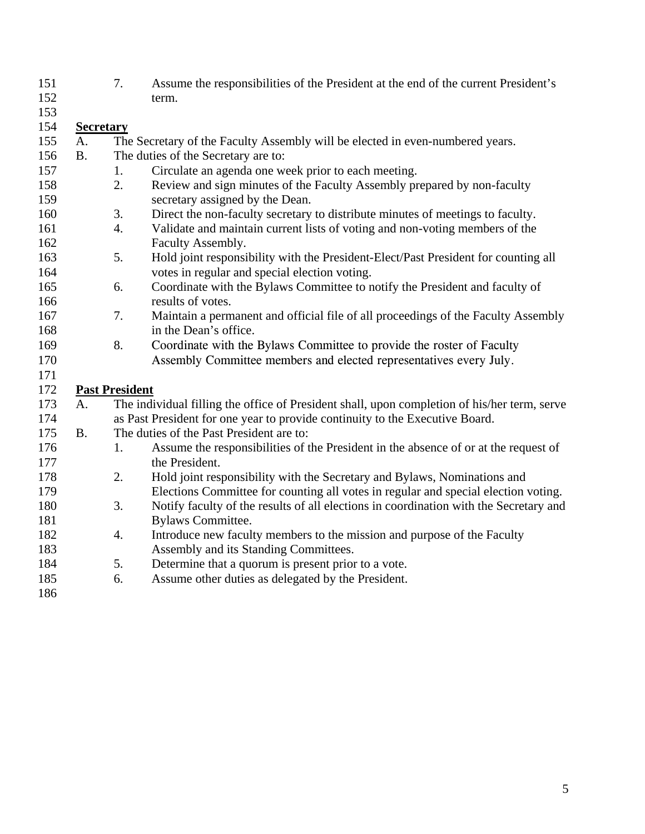| 151 |                  | 7.                    | Assume the responsibilities of the President at the end of the current President's           |  |  |  |  |
|-----|------------------|-----------------------|----------------------------------------------------------------------------------------------|--|--|--|--|
| 152 |                  |                       | term.                                                                                        |  |  |  |  |
| 153 |                  |                       |                                                                                              |  |  |  |  |
| 154 | <b>Secretary</b> |                       |                                                                                              |  |  |  |  |
| 155 | A.               |                       | The Secretary of the Faculty Assembly will be elected in even-numbered years.                |  |  |  |  |
| 156 | <b>B.</b>        |                       | The duties of the Secretary are to:                                                          |  |  |  |  |
| 157 |                  | 1.                    | Circulate an agenda one week prior to each meeting.                                          |  |  |  |  |
| 158 |                  | 2.                    | Review and sign minutes of the Faculty Assembly prepared by non-faculty                      |  |  |  |  |
| 159 |                  |                       | secretary assigned by the Dean.                                                              |  |  |  |  |
| 160 |                  | 3.                    | Direct the non-faculty secretary to distribute minutes of meetings to faculty.               |  |  |  |  |
| 161 |                  | $\overline{4}$ .      | Validate and maintain current lists of voting and non-voting members of the                  |  |  |  |  |
| 162 |                  |                       | Faculty Assembly.                                                                            |  |  |  |  |
| 163 |                  | 5.                    | Hold joint responsibility with the President-Elect/Past President for counting all           |  |  |  |  |
| 164 |                  |                       | votes in regular and special election voting.                                                |  |  |  |  |
| 165 |                  | 6.                    | Coordinate with the Bylaws Committee to notify the President and faculty of                  |  |  |  |  |
| 166 |                  |                       | results of votes.                                                                            |  |  |  |  |
| 167 |                  | 7.                    | Maintain a permanent and official file of all proceedings of the Faculty Assembly            |  |  |  |  |
| 168 |                  |                       | in the Dean's office.                                                                        |  |  |  |  |
| 169 |                  | 8.                    | Coordinate with the Bylaws Committee to provide the roster of Faculty                        |  |  |  |  |
| 170 |                  |                       | Assembly Committee members and elected representatives every July.                           |  |  |  |  |
| 171 |                  |                       |                                                                                              |  |  |  |  |
| 172 |                  | <b>Past President</b> |                                                                                              |  |  |  |  |
| 173 | A.               |                       | The individual filling the office of President shall, upon completion of his/her term, serve |  |  |  |  |
| 174 |                  |                       | as Past President for one year to provide continuity to the Executive Board.                 |  |  |  |  |
| 175 | <b>B.</b>        |                       | The duties of the Past President are to:                                                     |  |  |  |  |
| 176 |                  | 1.                    | Assume the responsibilities of the President in the absence of or at the request of          |  |  |  |  |
| 177 |                  |                       | the President.                                                                               |  |  |  |  |
| 178 |                  | 2.                    | Hold joint responsibility with the Secretary and Bylaws, Nominations and                     |  |  |  |  |
| 179 |                  |                       | Elections Committee for counting all votes in regular and special election voting.           |  |  |  |  |
| 180 |                  | 3.                    | Notify faculty of the results of all elections in coordination with the Secretary and        |  |  |  |  |
| 181 |                  |                       | <b>Bylaws Committee.</b>                                                                     |  |  |  |  |
| 182 |                  | 4.                    | Introduce new faculty members to the mission and purpose of the Faculty                      |  |  |  |  |
| 183 |                  |                       | Assembly and its Standing Committees.                                                        |  |  |  |  |
| 184 |                  | 5.                    | Determine that a quorum is present prior to a vote.                                          |  |  |  |  |
| 185 |                  | 6.                    | Assume other duties as delegated by the President.                                           |  |  |  |  |
| 186 |                  |                       |                                                                                              |  |  |  |  |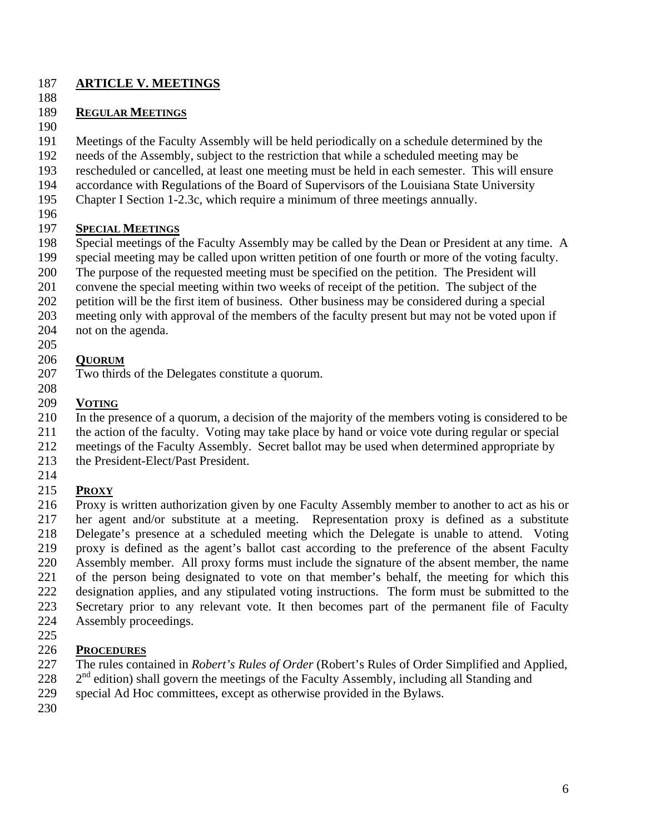#### 187 **ARTICLE V. MEETINGS**

188

### 189 **REGULAR MEETINGS**

190

191 Meetings of the Faculty Assembly will be held periodically on a schedule determined by the

- 192 needs of the Assembly, subject to the restriction that while a scheduled meeting may be
- 193 rescheduled or cancelled, at least one meeting must be held in each semester. This will ensure
- 194 accordance with Regulations of the Board of Supervisors of the Louisiana State University
- 195 Chapter I Section 1-2.3c, which require a minimum of three meetings annually.
- 196

## 197 **SPECIAL MEETINGS**

- 198 Special meetings of the Faculty Assembly may be called by the Dean or President at any time. A
- 199 special meeting may be called upon written petition of one fourth or more of the voting faculty.
- 200 The purpose of the requested meeting must be specified on the petition. The President will
- 201 convene the special meeting within two weeks of receipt of the petition. The subject of the
- 202 petition will be the first item of business. Other business may be considered during a special
- 203 meeting only with approval of the members of the faculty present but may not be voted upon if
- 204 not on the agenda.
- 205

## 206 **QUORUM**

- 207 Two thirds of the Delegates constitute a quorum.
- 208

## 209 **VOTING**

- 210 In the presence of a quorum, a decision of the majority of the members voting is considered to be
- 211 the action of the faculty. Voting may take place by hand or voice vote during regular or special
- 212 meetings of the Faculty Assembly. Secret ballot may be used when determined appropriate by
- 213 the President-Elect/Past President.
- 214

## 215 **PROXY**

- 216 Proxy is written authorization given by one Faculty Assembly member to another to act as his or 217 her agent and/or substitute at a meeting. Representation proxy is defined as a substitute 218 Delegate's presence at a scheduled meeting which the Delegate is unable to attend. Voting 219 proxy is defined as the agent's ballot cast according to the preference of the absent Faculty 220 Assembly member. All proxy forms must include the signature of the absent member, the name 221 of the person being designated to vote on that member's behalf, the meeting for which this 222 designation applies, and any stipulated voting instructions. The form must be submitted to the 223 Secretary prior to any relevant vote. It then becomes part of the permanent file of Faculty 224 Assembly proceedings.
- 225

## 226 **PROCEDURES**

- 227 The rules contained in *Robert's Rules of Order* (Robert's Rules of Order Simplified and Applied,
- $228$   $2<sup>nd</sup>$  edition) shall govern the meetings of the Faculty Assembly, including all Standing and
- 229 special Ad Hoc committees, except as otherwise provided in the Bylaws.
- 230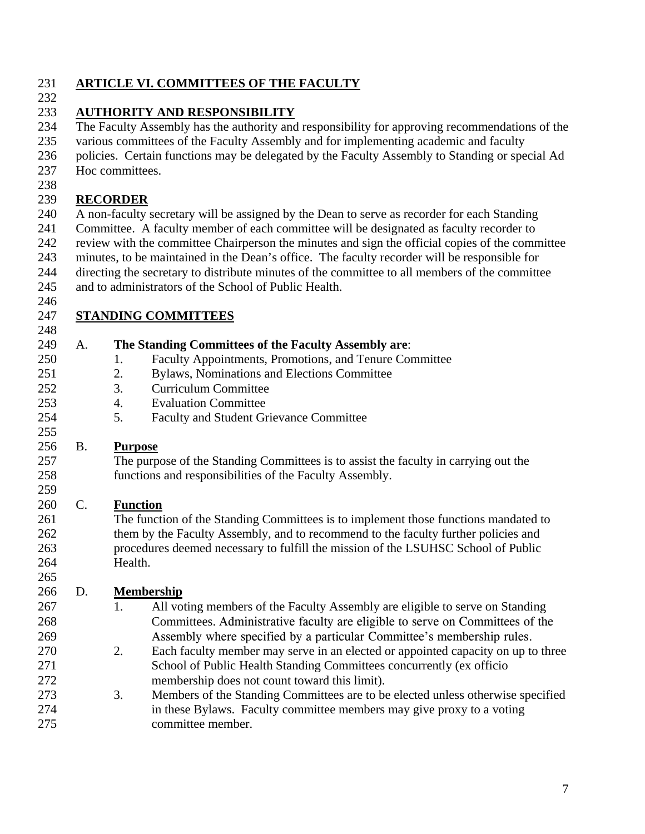### 231 **ARTICLE VI. COMMITTEES OF THE FACULTY**

#### 232

### 233 **AUTHORITY AND RESPONSIBILITY**

234 The Faculty Assembly has the authority and responsibility for approving recommendations of the

235 various committees of the Faculty Assembly and for implementing academic and faculty

236 policies. Certain functions may be delegated by the Faculty Assembly to Standing or special Ad

- 237 Hoc committees.
- 238

### 239 **RECORDER**

240 A non-faculty secretary will be assigned by the Dean to serve as recorder for each Standing 241 Committee. A faculty member of each committee will be designated as faculty recorder to 242 review with the committee Chairperson the minutes and sign the official copies of the committee 243 minutes, to be maintained in the Dean's office. The faculty recorder will be responsible for

- 244 directing the secretary to distribute minutes of the committee to all members of the committee
- 245 and to administrators of the School of Public Health.
- 246

## 247 **STANDING COMMITTEES**

| 248 |           |                                                                                        |
|-----|-----------|----------------------------------------------------------------------------------------|
| 249 | A.        | The Standing Committees of the Faculty Assembly are:                                   |
| 250 |           | Faculty Appointments, Promotions, and Tenure Committee<br>1.                           |
| 251 |           | Bylaws, Nominations and Elections Committee<br>2.                                      |
| 252 |           | 3.<br><b>Curriculum Committee</b>                                                      |
| 253 |           | <b>Evaluation Committee</b><br>4.                                                      |
| 254 |           | 5.<br><b>Faculty and Student Grievance Committee</b>                                   |
| 255 |           |                                                                                        |
| 256 | <b>B.</b> | <b>Purpose</b>                                                                         |
| 257 |           | The purpose of the Standing Committees is to assist the faculty in carrying out the    |
| 258 |           | functions and responsibilities of the Faculty Assembly.                                |
| 259 |           |                                                                                        |
| 260 | C.        | <b>Function</b>                                                                        |
| 261 |           | The function of the Standing Committees is to implement those functions mandated to    |
| 262 |           | them by the Faculty Assembly, and to recommend to the faculty further policies and     |
| 263 |           | procedures deemed necessary to fulfill the mission of the LSUHSC School of Public      |
| 264 |           | Health.                                                                                |
| 265 |           |                                                                                        |
| 266 | D.        | <b>Membership</b>                                                                      |
| 267 |           | 1.<br>All voting members of the Faculty Assembly are eligible to serve on Standing     |
| 268 |           | Committees. Administrative faculty are eligible to serve on Committees of the          |
| 269 |           | Assembly where specified by a particular Committee's membership rules.                 |
| 270 |           | 2.<br>Each faculty member may serve in an elected or appointed capacity on up to three |
| 271 |           | School of Public Health Standing Committees concurrently (ex officio                   |
| 272 |           | membership does not count toward this limit).                                          |
| 273 |           | 3.<br>Members of the Standing Committees are to be elected unless otherwise specified  |
| 274 |           | in these Bylaws. Faculty committee members may give proxy to a voting                  |
| 275 |           | committee member.                                                                      |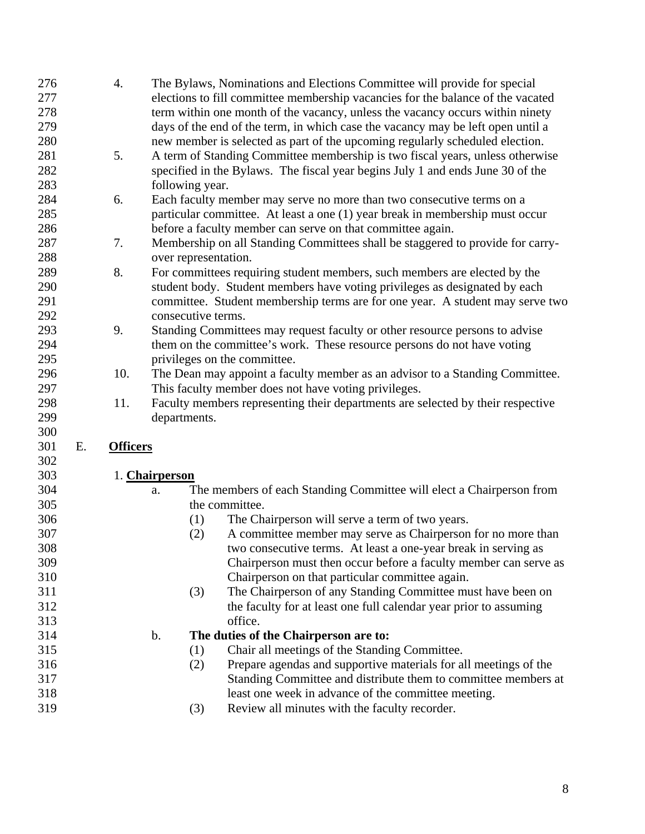| 276 |    | 4.              | The Bylaws, Nominations and Elections Committee will provide for special        |
|-----|----|-----------------|---------------------------------------------------------------------------------|
| 277 |    |                 | elections to fill committee membership vacancies for the balance of the vacated |
| 278 |    |                 | term within one month of the vacancy, unless the vacancy occurs within ninety   |
| 279 |    |                 | days of the end of the term, in which case the vacancy may be left open until a |
| 280 |    |                 | new member is selected as part of the upcoming regularly scheduled election.    |
| 281 |    | 5.              | A term of Standing Committee membership is two fiscal years, unless otherwise   |
| 282 |    |                 | specified in the Bylaws. The fiscal year begins July 1 and ends June 30 of the  |
| 283 |    |                 | following year.                                                                 |
| 284 |    | 6.              | Each faculty member may serve no more than two consecutive terms on a           |
| 285 |    |                 | particular committee. At least a one (1) year break in membership must occur    |
| 286 |    |                 | before a faculty member can serve on that committee again.                      |
| 287 |    | 7.              | Membership on all Standing Committees shall be staggered to provide for carry-  |
| 288 |    |                 | over representation.                                                            |
| 289 |    | 8.              | For committees requiring student members, such members are elected by the       |
| 290 |    |                 | student body. Student members have voting privileges as designated by each      |
| 291 |    |                 | committee. Student membership terms are for one year. A student may serve two   |
| 292 |    |                 | consecutive terms.                                                              |
| 293 |    | 9.              | Standing Committees may request faculty or other resource persons to advise     |
| 294 |    |                 | them on the committee's work. These resource persons do not have voting         |
| 295 |    |                 | privileges on the committee.                                                    |
| 296 |    | 10.             | The Dean may appoint a faculty member as an advisor to a Standing Committee.    |
| 297 |    |                 | This faculty member does not have voting privileges.                            |
| 298 |    | 11.             | Faculty members representing their departments are selected by their respective |
| 299 |    |                 | departments.                                                                    |
| 300 |    |                 |                                                                                 |
| 301 | Е. | <b>Officers</b> |                                                                                 |
| 302 |    |                 |                                                                                 |
| 303 |    |                 | 1. Chairperson                                                                  |
| 304 |    |                 | The members of each Standing Committee will elect a Chairperson from<br>a.      |
| 305 |    |                 | the committee.                                                                  |
| 306 |    |                 | The Chairperson will serve a term of two years.<br>(1)                          |
| 307 |    |                 | A committee member may serve as Chairperson for no more than<br>(2)             |
| 308 |    |                 | two consecutive terms. At least a one-year break in serving as                  |
| 309 |    |                 | Chairperson must then occur before a faculty member can serve as                |
| 310 |    |                 | Chairperson on that particular committee again.                                 |
| 311 |    |                 | The Chairperson of any Standing Committee must have been on<br>(3)              |
| 312 |    |                 | the faculty for at least one full calendar year prior to assuming               |
| 313 |    |                 | office.                                                                         |
| 314 |    |                 | The duties of the Chairperson are to:<br>b.                                     |
| 315 |    |                 | Chair all meetings of the Standing Committee.<br>(1)                            |
| 316 |    |                 | Prepare agendas and supportive materials for all meetings of the<br>(2)         |

- 317 Standing Committee and distribute them to committee members at 318 least one week in advance of the committee meeting.
- 319 (3) Review all minutes with the faculty recorder.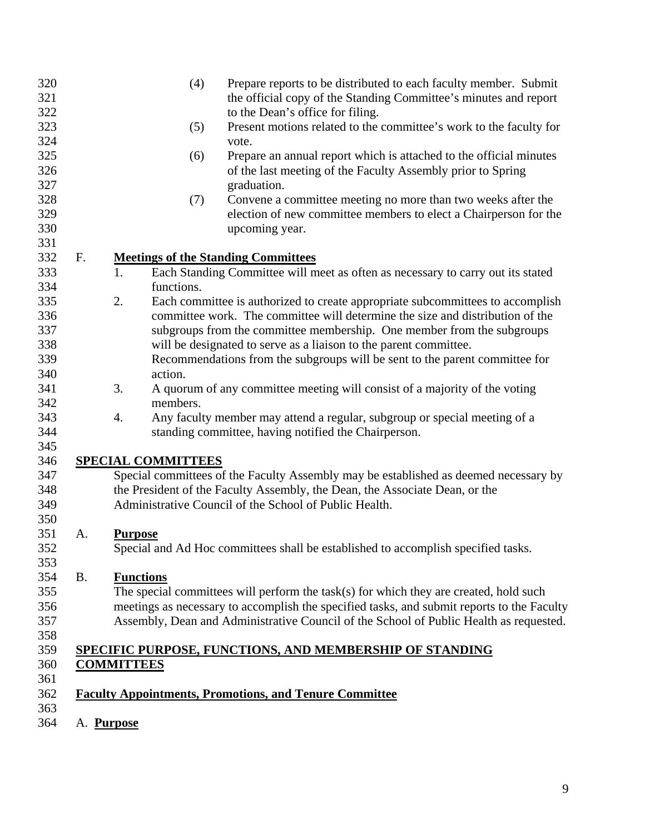| 320<br>321 |            | (4)<br>Prepare reports to be distributed to each faculty member. Submit<br>the official copy of the Standing Committee's minutes and report |
|------------|------------|---------------------------------------------------------------------------------------------------------------------------------------------|
| 322        |            | to the Dean's office for filing.                                                                                                            |
| 323        |            | Present motions related to the committee's work to the faculty for<br>(5)                                                                   |
| 324        |            | vote.                                                                                                                                       |
| 325        |            | Prepare an annual report which is attached to the official minutes<br>(6)                                                                   |
| 326        |            | of the last meeting of the Faculty Assembly prior to Spring                                                                                 |
| 327        |            | graduation.                                                                                                                                 |
| 328        |            | Convene a committee meeting no more than two weeks after the<br>(7)                                                                         |
| 329        |            | election of new committee members to elect a Chairperson for the                                                                            |
| 330        |            | upcoming year.                                                                                                                              |
| 331        |            |                                                                                                                                             |
| 332        | F.         | <b>Meetings of the Standing Committees</b>                                                                                                  |
| 333        |            | Each Standing Committee will meet as often as necessary to carry out its stated<br>1.                                                       |
| 334        |            | functions.                                                                                                                                  |
| 335        |            | 2.<br>Each committee is authorized to create appropriate subcommittees to accomplish                                                        |
| 336        |            | committee work. The committee will determine the size and distribution of the                                                               |
| 337        |            | subgroups from the committee membership. One member from the subgroups                                                                      |
| 338        |            | will be designated to serve as a liaison to the parent committee.                                                                           |
| 339        |            | Recommendations from the subgroups will be sent to the parent committee for                                                                 |
| 340        |            | action.                                                                                                                                     |
| 341        |            | 3.<br>A quorum of any committee meeting will consist of a majority of the voting                                                            |
| 342        |            | members.                                                                                                                                    |
| 343        |            | 4.<br>Any faculty member may attend a regular, subgroup or special meeting of a                                                             |
| 344        |            | standing committee, having notified the Chairperson.                                                                                        |
| 345        |            |                                                                                                                                             |
| 346        |            | <b>SPECIAL COMMITTEES</b>                                                                                                                   |
| 347        |            | Special committees of the Faculty Assembly may be established as deemed necessary by                                                        |
| 348        |            | the President of the Faculty Assembly, the Dean, the Associate Dean, or the                                                                 |
| 349        |            | Administrative Council of the School of Public Health.                                                                                      |
| 350        |            |                                                                                                                                             |
| 351        | A.         | <b>Purpose</b>                                                                                                                              |
| 352        |            | Special and Ad Hoc committees shall be established to accomplish specified tasks.                                                           |
| 353<br>354 | <b>B.</b>  | <b>Functions</b>                                                                                                                            |
| 355        |            | The special committees will perform the task(s) for which they are created, hold such                                                       |
| 356        |            | meetings as necessary to accomplish the specified tasks, and submit reports to the Faculty                                                  |
| 357        |            | Assembly, Dean and Administrative Council of the School of Public Health as requested.                                                      |
| 358        |            |                                                                                                                                             |
| 359        |            | SPECIFIC PURPOSE, FUNCTIONS, AND MEMBERSHIP OF STANDING                                                                                     |
| 360        |            | <b>COMMITTEES</b>                                                                                                                           |
| 361        |            |                                                                                                                                             |
| 362        |            | <b>Faculty Appointments, Promotions, and Tenure Committee</b>                                                                               |
| 363        |            |                                                                                                                                             |
| 364        | A. Purpose |                                                                                                                                             |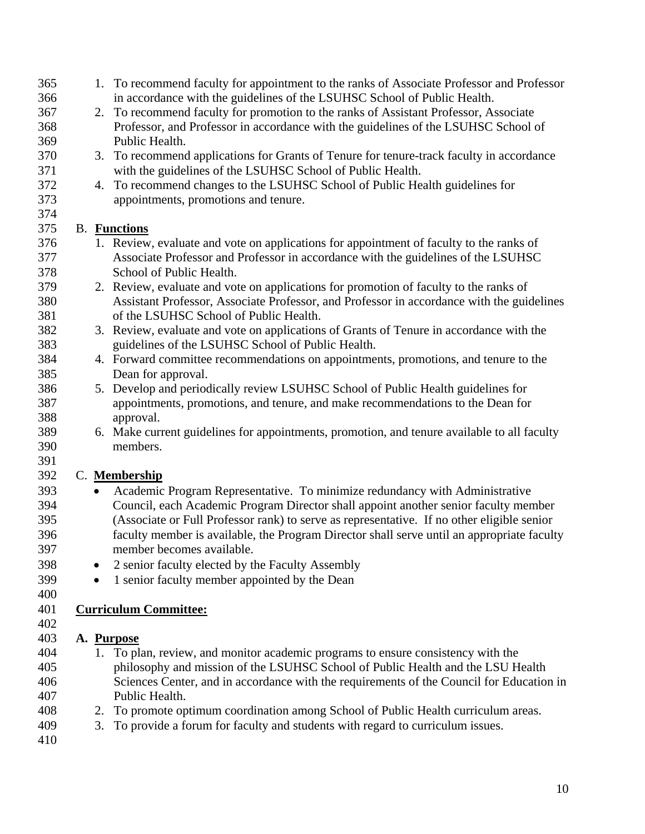| 365 |           | 1. To recommend faculty for appointment to the ranks of Associate Professor and Professor   |
|-----|-----------|---------------------------------------------------------------------------------------------|
| 366 |           | in accordance with the guidelines of the LSUHSC School of Public Health.                    |
| 367 |           | 2. To recommend faculty for promotion to the ranks of Assistant Professor, Associate        |
| 368 |           | Professor, and Professor in accordance with the guidelines of the LSUHSC School of          |
| 369 |           | Public Health.                                                                              |
| 370 |           | 3. To recommend applications for Grants of Tenure for tenure-track faculty in accordance    |
| 371 |           | with the guidelines of the LSUHSC School of Public Health.                                  |
| 372 |           | 4. To recommend changes to the LSUHSC School of Public Health guidelines for                |
| 373 |           | appointments, promotions and tenure.                                                        |
| 374 |           |                                                                                             |
| 375 |           | <b>B.</b> Functions                                                                         |
| 376 |           | 1. Review, evaluate and vote on applications for appointment of faculty to the ranks of     |
| 377 |           | Associate Professor and Professor in accordance with the guidelines of the LSUHSC           |
| 378 |           | School of Public Health.                                                                    |
| 379 |           | 2. Review, evaluate and vote on applications for promotion of faculty to the ranks of       |
| 380 |           | Assistant Professor, Associate Professor, and Professor in accordance with the guidelines   |
| 381 |           | of the LSUHSC School of Public Health.                                                      |
| 382 |           | 3. Review, evaluate and vote on applications of Grants of Tenure in accordance with the     |
| 383 |           | guidelines of the LSUHSC School of Public Health.                                           |
| 384 |           | 4. Forward committee recommendations on appointments, promotions, and tenure to the         |
| 385 |           | Dean for approval.                                                                          |
| 386 |           | 5. Develop and periodically review LSUHSC School of Public Health guidelines for            |
| 387 |           | appointments, promotions, and tenure, and make recommendations to the Dean for              |
| 388 |           | approval.                                                                                   |
| 389 |           | 6. Make current guidelines for appointments, promotion, and tenure available to all faculty |
| 390 |           | members.                                                                                    |
| 391 |           |                                                                                             |
| 392 |           | C. Membership                                                                               |
| 393 | $\bullet$ | Academic Program Representative. To minimize redundancy with Administrative                 |
| 394 |           | Council, each Academic Program Director shall appoint another senior faculty member         |
| 395 |           | (Associate or Full Professor rank) to serve as representative. If no other eligible senior  |
| 396 |           | faculty member is available, the Program Director shall serve until an appropriate faculty  |
| 397 |           | member becomes available.                                                                   |
| 398 |           | 2 senior faculty elected by the Faculty Assembly                                            |
| 399 | $\bullet$ | 1 senior faculty member appointed by the Dean                                               |
| 400 |           |                                                                                             |
| 401 |           | <b>Curriculum Committee:</b>                                                                |
| 402 |           |                                                                                             |
| 403 |           | A. Purpose                                                                                  |
| 404 |           | 1. To plan, review, and monitor academic programs to ensure consistency with the            |
| 405 |           | philosophy and mission of the LSUHSC School of Public Health and the LSU Health             |
| 406 |           | Sciences Center, and in accordance with the requirements of the Council for Education in    |
| 407 |           | Public Health.                                                                              |
| 408 |           | 2. To promote optimum coordination among School of Public Health curriculum areas.          |
| 409 |           | 3. To provide a forum for faculty and students with regard to curriculum issues.            |
| 410 |           |                                                                                             |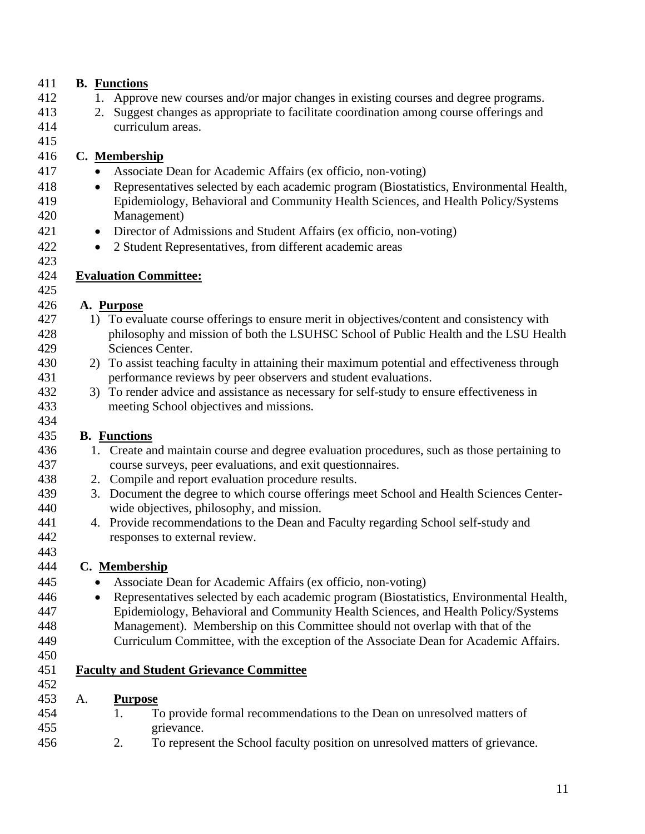### 411 **B. Functions**

- 412 1. Approve new courses and/or major changes in existing courses and degree programs.
- 413 2. Suggest changes as appropriate to facilitate coordination among course offerings and 414 curriculum areas.
- 415

423

425

434

### 416 **C. Membership**

- 417 Associate Dean for Academic Affairs (ex officio, non-voting)
- 418 Representatives selected by each academic program (Biostatistics, Environmental Health,
- 419 Epidemiology, Behavioral and Community Health Sciences, and Health Policy/Systems 420 Management)
- 421 Director of Admissions and Student Affairs (ex officio, non-voting)
- 422 2 Student Representatives, from different academic areas

#### 424 **Evaluation Committee:**

#### 426 **A. Purpose**

- 427 1) To evaluate course offerings to ensure merit in objectives/content and consistency with 428 philosophy and mission of both the LSUHSC School of Public Health and the LSU Health 429 Sciences Center.
- 430 2) To assist teaching faculty in attaining their maximum potential and effectiveness through 431 performance reviews by peer observers and student evaluations.
- 432 3) To render advice and assistance as necessary for self-study to ensure effectiveness in 433 meeting School objectives and missions.

#### 435 **B. Functions**

- 436 1. Create and maintain course and degree evaluation procedures, such as those pertaining to 437 course surveys, peer evaluations, and exit questionnaires.
- 438 2. Compile and report evaluation procedure results.
- 439 3. Document the degree to which course offerings meet School and Health Sciences Center-440 wide objectives, philosophy, and mission.
- 441 4. Provide recommendations to the Dean and Faculty regarding School self-study and 442 responses to external review.

#### 444 **C. Membership**

- 445 Associate Dean for Academic Affairs (ex officio, non-voting)
- 446 Representatives selected by each academic program (Biostatistics, Environmental Health, 447 Epidemiology, Behavioral and Community Health Sciences, and Health Policy/Systems 448 Management). Membership on this Committee should not overlap with that of the
- 449 Curriculum Committee, with the exception of the Associate Dean for Academic Affairs.
- 450

443

451 **Faculty and Student Grievance Committee**

# 452

- 453 A. **Purpose**
- 454 1. To provide formal recommendations to the Dean on unresolved matters of 455 grievance.
- 456 2. To represent the School faculty position on unresolved matters of grievance.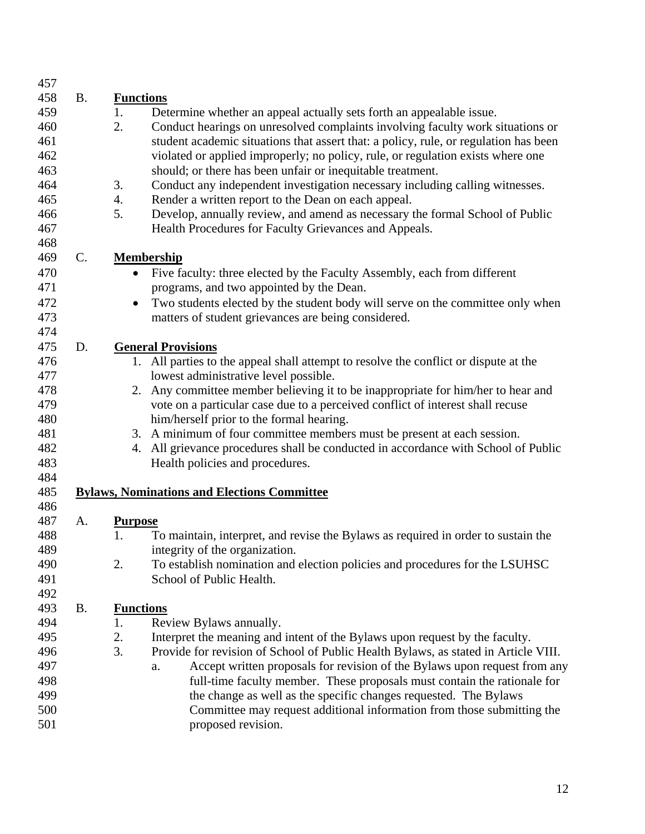| 457 |                |                                                                                          |
|-----|----------------|------------------------------------------------------------------------------------------|
| 458 | <b>B.</b>      | <b>Functions</b>                                                                         |
| 459 |                | 1.<br>Determine whether an appeal actually sets forth an appealable issue.               |
| 460 |                | 2.<br>Conduct hearings on unresolved complaints involving faculty work situations or     |
| 461 |                | student academic situations that assert that: a policy, rule, or regulation has been     |
| 462 |                | violated or applied improperly; no policy, rule, or regulation exists where one          |
| 463 |                | should; or there has been unfair or inequitable treatment.                               |
| 464 |                | Conduct any independent investigation necessary including calling witnesses.<br>3.       |
| 465 |                | 4.<br>Render a written report to the Dean on each appeal.                                |
| 466 |                | 5.<br>Develop, annually review, and amend as necessary the formal School of Public       |
| 467 |                | Health Procedures for Faculty Grievances and Appeals.                                    |
| 468 |                |                                                                                          |
| 469 | $\mathsf{C}$ . | <b>Membership</b>                                                                        |
| 470 |                | Five faculty: three elected by the Faculty Assembly, each from different<br>$\bullet$    |
| 471 |                | programs, and two appointed by the Dean.                                                 |
| 472 |                | Two students elected by the student body will serve on the committee only when           |
| 473 |                | matters of student grievances are being considered.                                      |
| 474 |                |                                                                                          |
| 475 | D.             | <b>General Provisions</b>                                                                |
| 476 |                | 1. All parties to the appeal shall attempt to resolve the conflict or dispute at the     |
| 477 |                | lowest administrative level possible.                                                    |
| 478 |                | 2. Any committee member believing it to be inappropriate for him/her to hear and         |
| 479 |                | vote on a particular case due to a perceived conflict of interest shall recuse           |
| 480 |                | him/herself prior to the formal hearing.                                                 |
| 481 |                | A minimum of four committee members must be present at each session.<br>3.               |
| 482 |                | All grievance procedures shall be conducted in accordance with School of Public<br>4.    |
| 483 |                | Health policies and procedures.                                                          |
| 484 |                |                                                                                          |
| 485 |                | <b>Bylaws, Nominations and Elections Committee</b>                                       |
| 486 |                |                                                                                          |
| 487 | A.             | <b>Purpose</b>                                                                           |
| 488 |                | To maintain, interpret, and revise the Bylaws as required in order to sustain the<br>1.  |
| 489 |                | integrity of the organization.                                                           |
| 490 |                | 2.<br>To establish nomination and election policies and procedures for the LSUHSC        |
| 491 |                | School of Public Health.                                                                 |
| 492 |                |                                                                                          |
| 493 | <b>B.</b>      | <b>Functions</b>                                                                         |
| 494 |                | 1.<br>Review Bylaws annually.                                                            |
| 495 |                | 2.<br>Interpret the meaning and intent of the Bylaws upon request by the faculty.        |
| 496 |                | 3.<br>Provide for revision of School of Public Health Bylaws, as stated in Article VIII. |
| 497 |                | Accept written proposals for revision of the Bylaws upon request from any<br>a.          |
| 498 |                | full-time faculty member. These proposals must contain the rationale for                 |
| 499 |                | the change as well as the specific changes requested. The Bylaws                         |
| 500 |                | Committee may request additional information from those submitting the                   |
| 501 |                | proposed revision.                                                                       |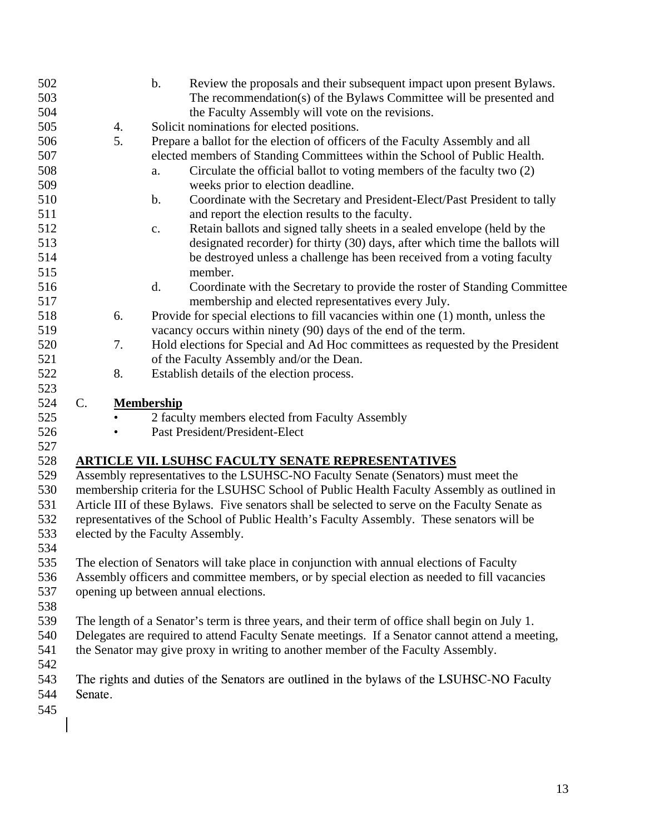| 502 |                 |    | $\mathbf b$ .     | Review the proposals and their subsequent impact upon present Bylaws.                           |
|-----|-----------------|----|-------------------|-------------------------------------------------------------------------------------------------|
| 503 |                 |    |                   | The recommendation(s) of the Bylaws Committee will be presented and                             |
| 504 |                 |    |                   | the Faculty Assembly will vote on the revisions.                                                |
| 505 |                 | 4. |                   | Solicit nominations for elected positions.                                                      |
| 506 |                 | 5. |                   | Prepare a ballot for the election of officers of the Faculty Assembly and all                   |
| 507 |                 |    |                   | elected members of Standing Committees within the School of Public Health.                      |
| 508 |                 |    | a.                | Circulate the official ballot to voting members of the faculty two (2)                          |
| 509 |                 |    |                   | weeks prior to election deadline.                                                               |
| 510 |                 |    | $b$ .             | Coordinate with the Secretary and President-Elect/Past President to tally                       |
| 511 |                 |    |                   | and report the election results to the faculty.                                                 |
| 512 |                 |    | c.                | Retain ballots and signed tally sheets in a sealed envelope (held by the                        |
| 513 |                 |    |                   | designated recorder) for thirty (30) days, after which time the ballots will                    |
| 514 |                 |    |                   | be destroyed unless a challenge has been received from a voting faculty                         |
| 515 |                 |    |                   | member.                                                                                         |
| 516 |                 |    | d.                | Coordinate with the Secretary to provide the roster of Standing Committee                       |
| 517 |                 |    |                   | membership and elected representatives every July.                                              |
| 518 |                 | 6. |                   | Provide for special elections to fill vacancies within one (1) month, unless the                |
| 519 |                 |    |                   | vacancy occurs within ninety (90) days of the end of the term.                                  |
| 520 |                 | 7. |                   | Hold elections for Special and Ad Hoc committees as requested by the President                  |
| 521 |                 |    |                   | of the Faculty Assembly and/or the Dean.                                                        |
| 522 |                 | 8. |                   | Establish details of the election process.                                                      |
| 523 |                 |    |                   |                                                                                                 |
| 524 | $\mathcal{C}$ . |    | <b>Membership</b> |                                                                                                 |
| 525 |                 |    |                   | 2 faculty members elected from Faculty Assembly                                                 |
| 526 |                 |    |                   | Past President/President-Elect                                                                  |
| 527 |                 |    |                   |                                                                                                 |
| 528 |                 |    |                   | <b>ARTICLE VII. LSUHSC FACULTY SENATE REPRESENTATIVES</b>                                       |
| 529 |                 |    |                   | Assembly representatives to the LSUHSC-NO Faculty Senate (Senators) must meet the               |
| 530 |                 |    |                   | membership criteria for the LSUHSC School of Public Health Faculty Assembly as outlined in      |
| 531 |                 |    |                   | Article III of these Bylaws. Five senators shall be selected to serve on the Faculty Senate as  |
| 532 |                 |    |                   | representatives of the School of Public Health's Faculty Assembly. These senators will be       |
| 533 |                 |    |                   | elected by the Faculty Assembly.                                                                |
| 534 |                 |    |                   |                                                                                                 |
| 535 |                 |    |                   | The election of Senators will take place in conjunction with annual elections of Faculty        |
| 536 |                 |    |                   | Assembly officers and committee members, or by special election as needed to fill vacancies     |
| 537 |                 |    |                   | opening up between annual elections.                                                            |
| 538 |                 |    |                   |                                                                                                 |
| 539 |                 |    |                   | The length of a Senator's term is three years, and their term of office shall begin on July 1.  |
| 540 |                 |    |                   | Delegates are required to attend Faculty Senate meetings. If a Senator cannot attend a meeting, |
| 541 |                 |    |                   | the Senator may give proxy in writing to another member of the Faculty Assembly.                |
| 542 |                 |    |                   |                                                                                                 |
| 543 |                 |    |                   | The rights and duties of the Senators are outlined in the bylaws of the LSUHSC-NO Faculty       |
| 544 | Senate.         |    |                   |                                                                                                 |
| 545 |                 |    |                   |                                                                                                 |
|     |                 |    |                   |                                                                                                 |